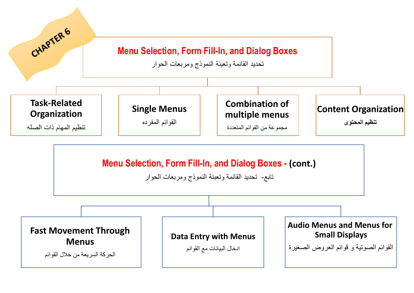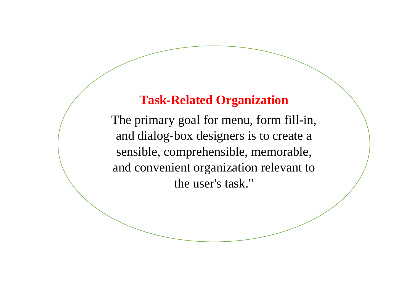## **Task-Related Organization**

The primary goal for menu, form fill-in, and dialog-box designers is to create a sensible, comprehensible, memorable, and convenient organization relevant to the user's task."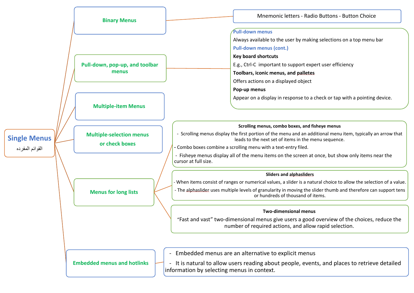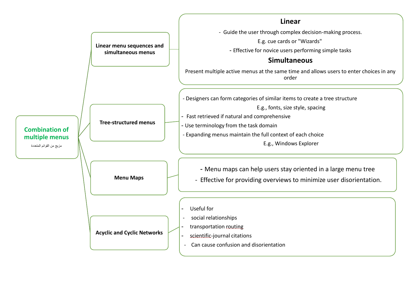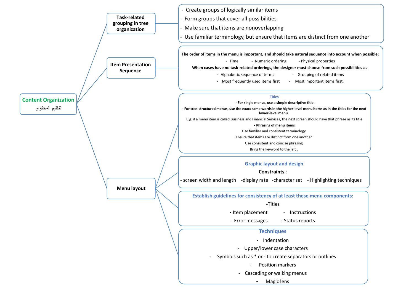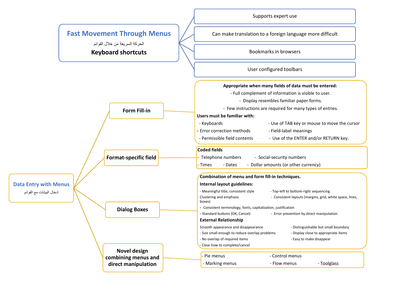